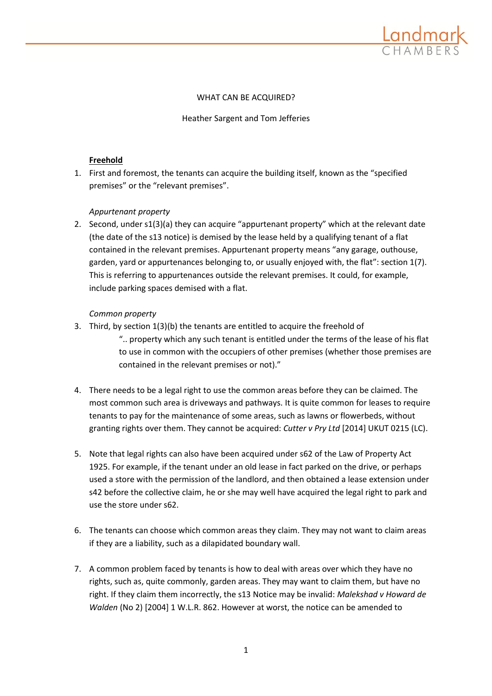

# WHAT CAN BE ACQUIRED?

Heather Sargent and Tom Jefferies

# **Freehold**

1. First and foremost, the tenants can acquire the building itself, known as the "specified premises" or the "relevant premises".

# *Appurtenant property*

2. Second, under s1(3)(a) they can acquire "appurtenant property" which at the relevant date (the date of the s13 notice) is demised by the lease held by a qualifying tenant of a flat contained in the relevant premises. Appurtenant property means "any garage, outhouse, garden, yard or appurtenances belonging to, or usually enjoyed with, the flat": section 1(7). This is referring to appurtenances outside the relevant premises. It could, for example, include parking spaces demised with a flat.

## *Common property*

3. Third, by section 1(3)(b) the tenants are entitled to acquire the freehold of

".. property which any such tenant is entitled under the terms of the lease of his flat to use in common with the occupiers of other premises (whether those premises are contained in the relevant premises or not)."

- 4. There needs to be a legal right to use the common areas before they can be claimed. The most common such area is driveways and pathways. It is quite common for leases to require tenants to pay for the maintenance of some areas, such as lawns or flowerbeds, without granting rights over them. They cannot be acquired: *Cutter v Pry Ltd* [2014] UKUT 0215 (LC).
- 5. Note that legal rights can also have been acquired under s62 of the Law of Property Act 1925. For example, if the tenant under an old lease in fact parked on the drive, or perhaps used a store with the permission of the landlord, and then obtained a lease extension under s42 before the collective claim, he or she may well have acquired the legal right to park and use the store under s62.
- 6. The tenants can choose which common areas they claim. They may not want to claim areas if they are a liability, such as a dilapidated boundary wall.
- 7. A common problem faced by tenants is how to deal with areas over which they have no rights, such as, quite commonly, garden areas. They may want to claim them, but have no right. If they claim them incorrectly, the s13 Notice may be invalid: *Malekshad v Howard de Walden* (No 2) [2004] 1 W.L.R. 862. However at worst, the notice can be amended to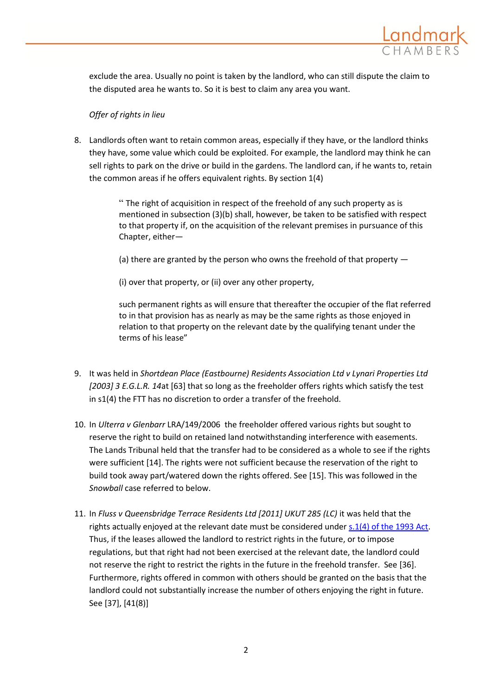

exclude the area. Usually no point is taken by the landlord, who can still dispute the claim to the disputed area he wants to. So it is best to claim any area you want.

# *Offer of rights in lieu*

8. Landlords often want to retain common areas, especially if they have, or the landlord thinks they have, some value which could be exploited. For example, the landlord may think he can sell rights to park on the drive or build in the gardens. The landlord can, if he wants to, retain the common areas if he offers equivalent rights. By section 1(4)

> " The right of acquisition in respect of the freehold of any such property as is mentioned in subsection (3)(b) shall, however, be taken to be satisfied with respect to that property if, on the acquisition of the relevant premises in pursuance of this Chapter, either—

(a) there are granted by the person who owns the freehold of that property —

(i) over that property, or (ii) over any other property,

such permanent rights as will ensure that thereafter the occupier of the flat referred to in that provision has as nearly as may be the same rights as those enjoyed in relation to that property on the relevant date by the qualifying tenant under the terms of his lease"

- 9. It was held in *[Shortdean Place \(Eastbourne\) Residents Association Ltd v Lynari Properties Ltd](http://login.westlaw.co.uk/maf/wluk/app/document?src=doc&linktype=ref&context=9&crumb-action=replace&docguid=I9F9A2FE0E43611DA8FC2A0F0355337E9) [2003] 3 E.G.L.R. 14*at [63] that so long as the freeholder offers rights which satisfy the test in s1(4) the FTT has no discretion to order a transfer of the freehold.
- 10. In *Ulterra v Glenbarr* LRA/149/2006 the freeholder offered various rights but sought to reserve the right to build on retained land notwithstanding interference with easements. The Lands Tribunal held that the transfer had to be considered as a whole to see if the rights were sufficient [14]. The rights were not sufficient because the reservation of the right to build took away part/watered down the rights offered. See [15]. This was followed in the *Snowball* case referred to below.
- 11. In *Fluss v Queensbridge Terrace Residents Ltd [2011] UKUT 285 (LC)* it was held that the rights actually enjoyed at the relevant date must be considered under [s.1\(4\) of the 1993 Act.](http://login.westlaw.co.uk/maf/wluk/app/document?src=doc&linktype=ref&context=9&crumb-action=replace&docguid=I3AF15481E44D11DA8D70A0E70A78ED65) Thus, if the leases allowed the landlord to restrict rights in the future, or to impose regulations, but that right had not been exercised at the relevant date, the landlord could not reserve the right to restrict the rights in the future in the freehold transfer. See [36]. Furthermore, rights offered in common with others should be granted on the basis that the landlord could not substantially increase the number of others enjoying the right in future. See [37], [41(8)]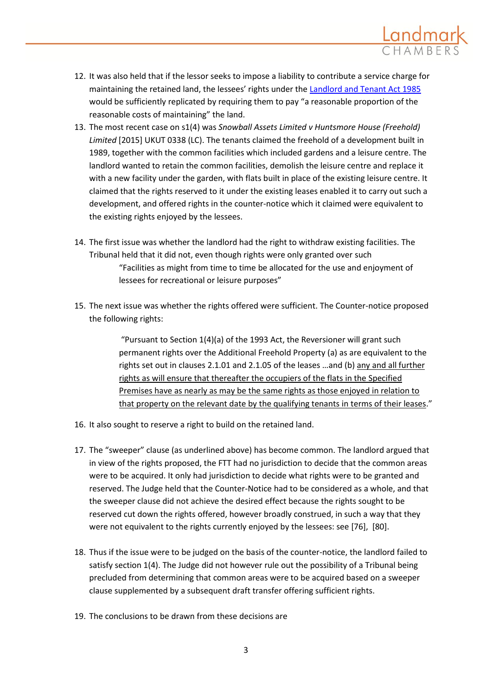

- 12. It was also held that if the lessor seeks to impose a liability to contribute a service charge for maintaining the retained land, the lessees' rights under the [Landlord and Tenant Act 1985](http://login.westlaw.co.uk/maf/wluk/app/document?src=doc&linktype=ref&context=9&crumb-action=replace&docguid=I601777F0E42311DAA7CF8F68F6EE57AB) would be sufficiently replicated by requiring them to pay "a reasonable proportion of the reasonable costs of maintaining" the land.
- 13. The most recent case on s1(4) was *Snowball Assets Limited v Huntsmore House (Freehold) Limited* [2015] UKUT 0338 (LC). The tenants claimed the freehold of a development built in 1989, together with the common facilities which included gardens and a leisure centre. The landlord wanted to retain the common facilities, demolish the leisure centre and replace it with a new facility under the garden, with flats built in place of the existing leisure centre. It claimed that the rights reserved to it under the existing leases enabled it to carry out such a development, and offered rights in the counter-notice which it claimed were equivalent to the existing rights enjoyed by the lessees.
- 14. The first issue was whether the landlord had the right to withdraw existing facilities. The Tribunal held that it did not, even though rights were only granted over such "Facilities as might from time to time be allocated for the use and enjoyment of lessees for recreational or leisure purposes"
- 15. The next issue was whether the rights offered were sufficient. The Counter-notice proposed the following rights:

"Pursuant to Section 1(4)(a) of the 1993 Act, the Reversioner will grant such permanent rights over the Additional Freehold Property (a) as are equivalent to the rights set out in clauses 2.1.01 and 2.1.05 of the leases …and (b) any and all further rights as will ensure that thereafter the occupiers of the flats in the Specified Premises have as nearly as may be the same rights as those enjoyed in relation to that property on the relevant date by the qualifying tenants in terms of their leases."

- 16. It also sought to reserve a right to build on the retained land.
- 17. The "sweeper" clause (as underlined above) has become common. The landlord argued that in view of the rights proposed, the FTT had no jurisdiction to decide that the common areas were to be acquired. It only had jurisdiction to decide what rights were to be granted and reserved. The Judge held that the Counter-Notice had to be considered as a whole, and that the sweeper clause did not achieve the desired effect because the rights sought to be reserved cut down the rights offered, however broadly construed, in such a way that they were not equivalent to the rights currently enjoyed by the lessees: see [76], [80].
- 18. Thus if the issue were to be judged on the basis of the counter-notice, the landlord failed to satisfy section 1(4). The Judge did not however rule out the possibility of a Tribunal being precluded from determining that common areas were to be acquired based on a sweeper clause supplemented by a subsequent draft transfer offering sufficient rights.
- 19. The conclusions to be drawn from these decisions are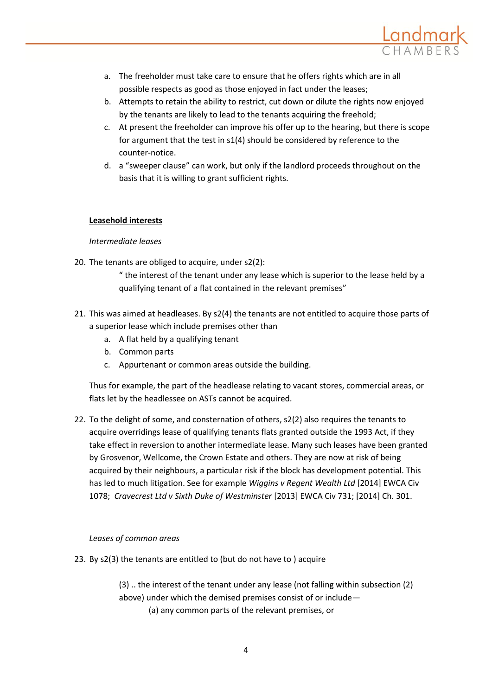

- a. The freeholder must take care to ensure that he offers rights which are in all possible respects as good as those enjoyed in fact under the leases;
- b. Attempts to retain the ability to restrict, cut down or dilute the rights now enjoyed by the tenants are likely to lead to the tenants acquiring the freehold;
- c. At present the freeholder can improve his offer up to the hearing, but there is scope for argument that the test in s1(4) should be considered by reference to the counter-notice.
- d. a "sweeper clause" can work, but only if the landlord proceeds throughout on the basis that it is willing to grant sufficient rights.

# **Leasehold interests**

## *Intermediate leases*

- 20. The tenants are obliged to acquire, under s2(2):
	- " the interest of the tenant under any lease which is superior to the lease held by a qualifying tenant of a flat contained in the relevant premises"
- 21. This was aimed at headleases. By s2(4) the tenants are not entitled to acquire those parts of a superior lease which include premises other than
	- a. A flat held by a qualifying tenant
	- b. Common parts
	- c. Appurtenant or common areas outside the building.

Thus for example, the part of the headlease relating to vacant stores, commercial areas, or flats let by the headlessee on ASTs cannot be acquired.

22. To the delight of some, and consternation of others, s2(2) also requires the tenants to acquire overridings lease of qualifying tenants flats granted outside the 1993 Act, if they take effect in reversion to another intermediate lease. Many such leases have been granted by Grosvenor, Wellcome, the Crown Estate and others. They are now at risk of being acquired by their neighbours, a particular risk if the block has development potential. This has led to much litigation. See for example *Wiggins v Regent Wealth Ltd* [2014] EWCA Civ 1078; *Cravecrest Ltd v Sixth Duke of Westminster* [2013] EWCA Civ 731; [2014] Ch. 301.

## *Leases of common areas*

23. By s2(3) the tenants are entitled to (but do not have to ) acquire

(3) .. the interest of the tenant under any lease (not falling within subsection (2) above) under which the demised premises consist of or include— (a) any common parts of the relevant premises, or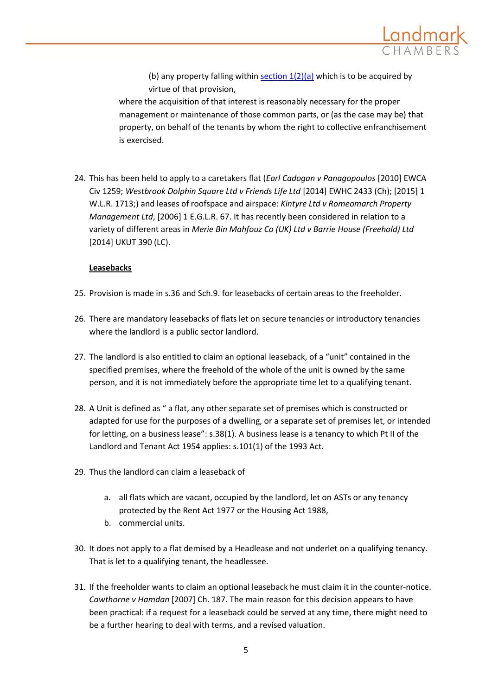

(b) any property falling within  $section 1(2)(a)$  which is to be acquired by virtue of that provision,

where the acquisition of that interest is reasonably necessary for the proper management or maintenance of those common parts, or (as the case may be) that property, on behalf of the tenants by whom the right to collective enfranchisement is exercised.

24. This has been held to apply to a caretakers flat (*Earl Cadogan v Panagopoulos* [2010] EWCA Civ 1259; *Westbrook Dolphin Square Ltd v Friends Life Ltd* [2014] EWHC 2433 (Ch); [2015] 1 W.L.R. 1713;) and leases of roofspace and airspace: *Kintyre Ltd v Romeomarch Property Management Ltd*, [2006] 1 E.G.L.R. 67. It has recently been considered in relation to a variety of different areas in *Merie Bin Mahfouz Co (UK) Ltd v Barrie House (Freehold) Ltd* [2014] UKUT 390 (LC).

## **Leasebacks**

- 25. Provision is made in s.36 and Sch.9. for leasebacks of certain areas to the freeholder.
- 26. There are mandatory leasebacks of flats let on secure tenancies or introductory tenancies where the landlord is a public sector landlord.
- 27. The landlord is also entitled to claim an optional leaseback, of a "unit" contained in the specified premises, where the freehold of the whole of the unit is owned by the same person, and it is not immediately before the appropriate time let to a qualifying tenant.
- 28. A Unit is defined as " a flat, any other separate set of premises which is constructed or adapted for use for the purposes of a dwelling, or a separate set of premises let, or intended for letting, on a business lease": s.38(1). A business lease is a tenancy to which Pt II of the Landlord and Tenant Act 1954 applies: s.101(1) of the 1993 Act.
- 29. Thus the landlord can claim a leaseback of
	- a. all flats which are vacant, occupied by the landlord, let on ASTs or any tenancy protected by the Rent Act 1977 or the Housing Act 1988,
	- b. commercial units.
- 30. It does not apply to a flat demised by a Headlease and not underlet on a qualifying tenancy. That is let to a qualifying tenant, the headlessee.
- 31. If the freeholder wants to claim an optional leaseback he must claim it in the counter-notice. *Cawthorne v Hamdan* [2007] Ch. 187. The main reason for this decision appears to have been practical: if a request for a leaseback could be served at any time, there might need to be a further hearing to deal with terms, and a revised valuation.